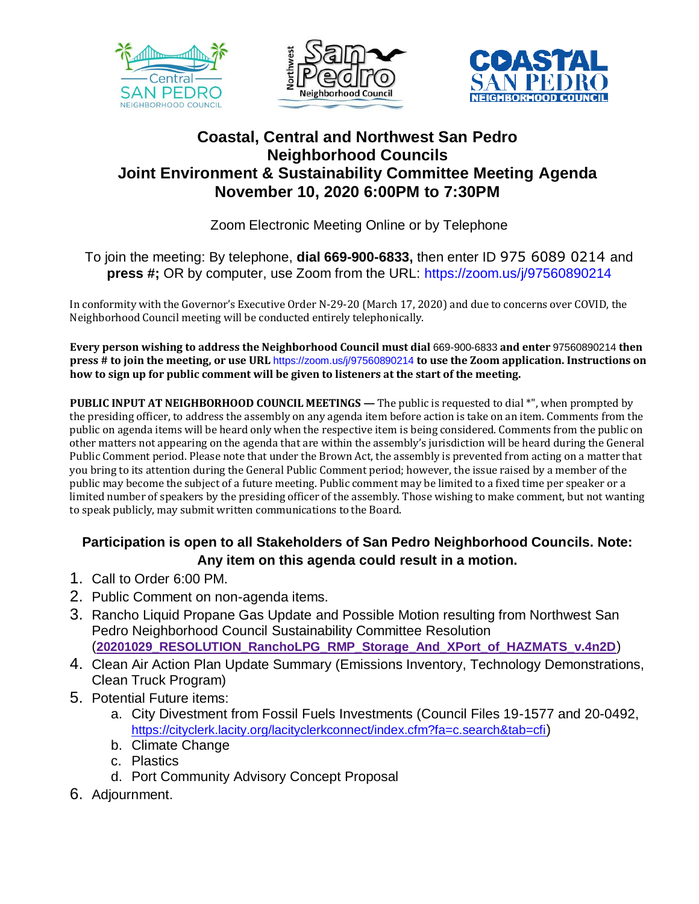





## **Coastal, Central and Northwest San Pedro Neighborhood Councils Joint Environment & Sustainability Committee Meeting Agenda November 10, 2020 6:00PM to 7:30PM**

Zoom Electronic Meeting Online or by Telephone

## To join the meeting: By telephone, **dial 669-900-6833,** then enter ID 975 6089 0214 and **press #;** OR by computer, use Zoom from the URL: https://zoom.us/j/97560890214

In conformity with the Governor's Executive Order N-29-20 (March 17, 2020) and due to concerns over COVID, the Neighborhood Council meeting will be conducted entirely telephonically.

**Every person wishing to address the Neighborhood Council must dial** 669-900-6833 **and enter** 97560890214 **then press # to join the meeting, or use URL** https://zoom.us/j/97560890214 **to use the Zoom application. Instructions on how to sign up for public comment will be given to listeners at the start of the meeting.** 

**PUBLIC INPUT AT NEIGHBORHOOD COUNCIL MEETINGS —** The public is requested to dial \*", when prompted by the presiding officer, to address the assembly on any agenda item before action is take on an item. Comments from the public on agenda items will be heard only when the respective item is being considered. Comments from the public on other matters not appearing on the agenda that are within the assembly's jurisdiction will be heard during the General Public Comment period. Please note that under the Brown Act, the assembly is prevented from acting on a matter that you bring to its attention during the General Public Comment period; however, the issue raised by a member of the public may become the subject of a future meeting. Public comment may be limited to a fixed time per speaker or a limited number of speakers by the presiding officer of the assembly. Those wishing to make comment, but not wanting to speak publicly, may submit written communications to the Board.

## **Participation is open to all Stakeholders of San Pedro Neighborhood Councils. Note: Any item on this agenda could result in a motion.**

- 1. Call to Order 6:00 PM.
- 2. Public Comment on non-agenda items.
- 3. Rancho Liquid Propane Gas Update and Possible Motion resulting from Northwest San Pedro Neighborhood Council Sustainability Committee Resolution (**[20201029\\_RESOLUTION\\_RanchoLPG\\_RMP\\_Storage\\_And\\_XPort\\_of\\_HAZMATS\\_v.4n2D](http://nwsanpedro.org/wp-content/uploads/2020/10/20201029_RESOLUTION_RanchoLPG_RMP_Storage_And_XPort_of_HAZMATS_v.4n2D.pdf)**)
- 4. Clean Air Action Plan Update Summary (Emissions Inventory, Technology Demonstrations, Clean Truck Program)
- 5. Potential Future items:
	- a. City Divestment from Fossil Fuels Investments (Council Files 19-1577 and 20-0492, <https://cityclerk.lacity.org/lacityclerkconnect/index.cfm?fa=c.search&tab=cfi>)
	- b. Climate Change
	- c. Plastics
	- d. Port Community Advisory Concept Proposal
- 6. Adjournment.